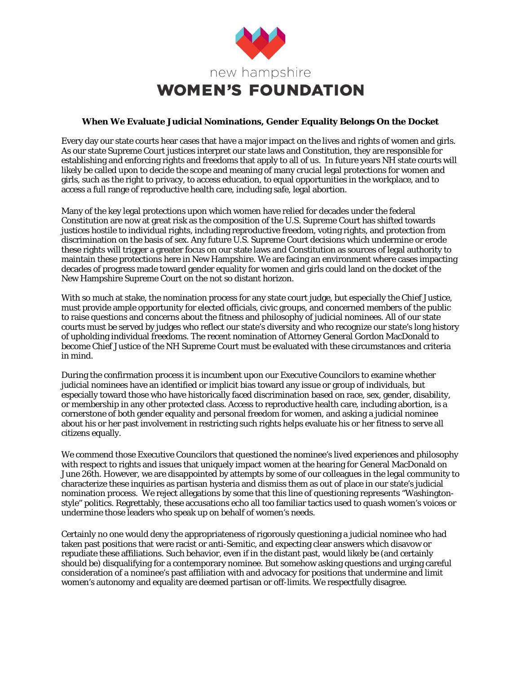

## **When We Evaluate Judicial Nominations, Gender Equality Belongs On the Docket**

Every day our state courts hear cases that have a major impact on the lives and rights of women and girls. As our state Supreme Court justices interpret our state laws and Constitution, they are responsible for establishing and enforcing rights and freedoms that apply to all of us. In future years NH state courts will likely be called upon to decide the scope and meaning of many crucial legal protections for women and girls, such as the right to privacy, to access education, to equal opportunities in the workplace, and to access a full range of reproductive health care, including safe, legal abortion.

Many of the key legal protections upon which women have relied for decades under the federal Constitution are now at great risk as the composition of the U.S. Supreme Court has shifted towards justices hostile to individual rights, including reproductive freedom, voting rights, and protection from discrimination on the basis of sex. Any future U.S. Supreme Court decisions which undermine or erode these rights will trigger a greater focus on our state laws and Constitution as sources of legal authority to maintain these protections here in New Hampshire. We are facing an environment where cases impacting decades of progress made toward gender equality for women and girls could land on the docket of the New Hampshire Supreme Court on the not so distant horizon.

With so much at stake, the nomination process for any state court judge, but especially the Chief Justice, must provide ample opportunity for elected officials, civic groups, and concerned members of the public to raise questions and concerns about the fitness and philosophy of judicial nominees. All of our state courts must be served by judges who reflect our state's diversity and who recognize our state's long history of upholding individual freedoms. The recent nomination of Attorney General Gordon MacDonald to become Chief Justice of the NH Supreme Court must be evaluated with these circumstances and criteria in mind.

During the confirmation process it is incumbent upon our Executive Councilors to examine whether judicial nominees have an identified or implicit bias toward any issue or group of individuals, but especially toward those who have historically faced discrimination based on race, sex, gender, disability, or membership in any other protected class. Access to reproductive health care, including abortion, is a cornerstone of both gender equality and personal freedom for women, and asking a judicial nominee about his or her past involvement in restricting such rights helps evaluate his or her fitness to serve all citizens equally.

We commend those Executive Councilors that questioned the nominee's lived experiences and philosophy with respect to rights and issues that uniquely impact women at the hearing for General MacDonald on June 26th. However, we are disappointed by attempts by some of our colleagues in the legal community to characterize these inquiries as partisan hysteria and dismiss them as out of place in our state's judicial nomination process. We reject allegations by some that this line of questioning represents "Washingtonstyle" politics. Regrettably, these accusations echo all too familiar tactics used to quash women's voices or undermine those leaders who speak up on behalf of women's needs.

Certainly no one would deny the appropriateness of rigorously questioning a judicial nominee who had taken past positions that were racist or anti-Semitic, and expecting clear answers which disavow or repudiate these affiliations. Such behavior, even if in the distant past, would likely be (and certainly should be) disqualifying for a contemporary nominee. But somehow asking questions and urging careful consideration of a nominee's past affiliation with and advocacy for positions that undermine and limit women's autonomy and equality are deemed partisan or off-limits. We respectfully disagree.